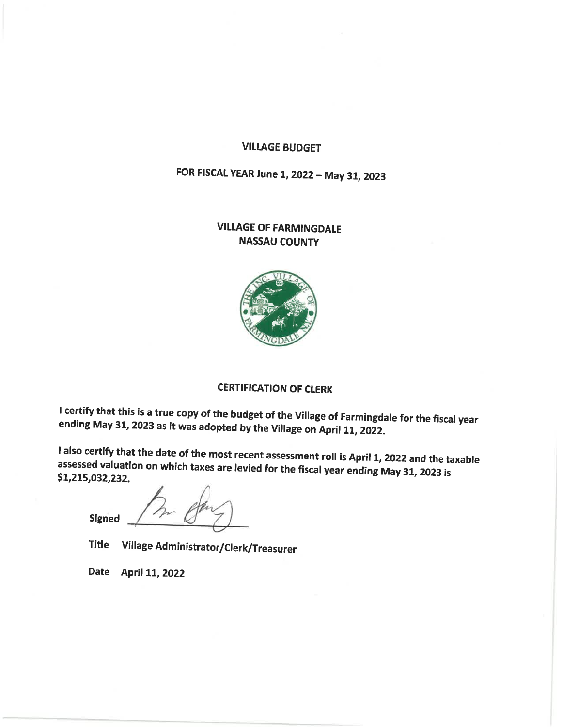### **VILLAGE BUDGET**

# FOR FISCAL YEAR June 1, 2022 - May 31, 2023

### **VILLAGE OF FARMINGDALE NASSAU COUNTY**



## **CERTIFICATION OF CLERK**

I certify that this is a true copy of the budget of the Village of Farmingdale for the fiscal year ending May 31, 2023 as it was adopted by the Village on April 11, 2022.

I also certify that the date of the most recent assessment roll is April 1, 2022 and the taxable assessed valuation on which taxes are levied for the fiscal year ending May 31, 2023 is \$1,215,032,232.

Signed

Village Administrator/Clerk/Treasurer **Title** 

Date April 11, 2022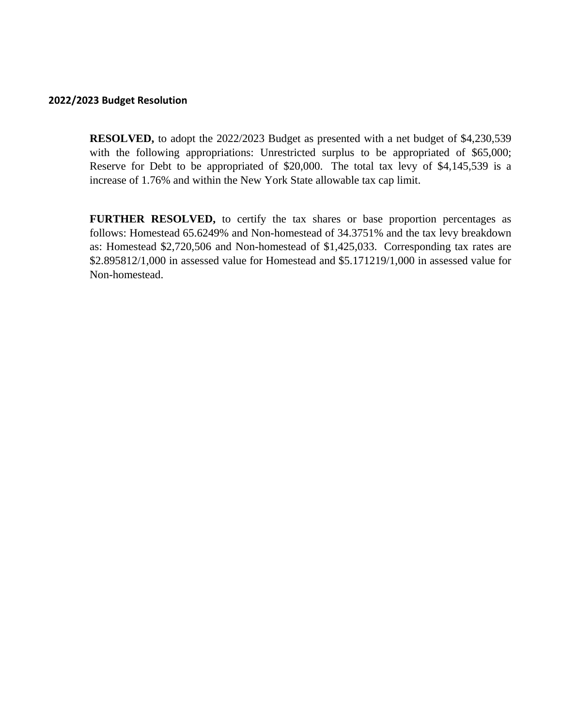### **2022/2023 Budget Resolution**

**RESOLVED,** to adopt the 2022/2023 Budget as presented with a net budget of \$4,230,539 with the following appropriations: Unrestricted surplus to be appropriated of \$65,000; Reserve for Debt to be appropriated of \$20,000. The total tax levy of \$4,145,539 is a increase of 1.76% and within the New York State allowable tax cap limit.

**FURTHER RESOLVED,** to certify the tax shares or base proportion percentages as follows: Homestead 65.6249% and Non-homestead of 34.3751% and the tax levy breakdown as: Homestead \$2,720,506 and Non-homestead of \$1,425,033. Corresponding tax rates are \$2.895812/1,000 in assessed value for Homestead and \$5.171219/1,000 in assessed value for Non-homestead.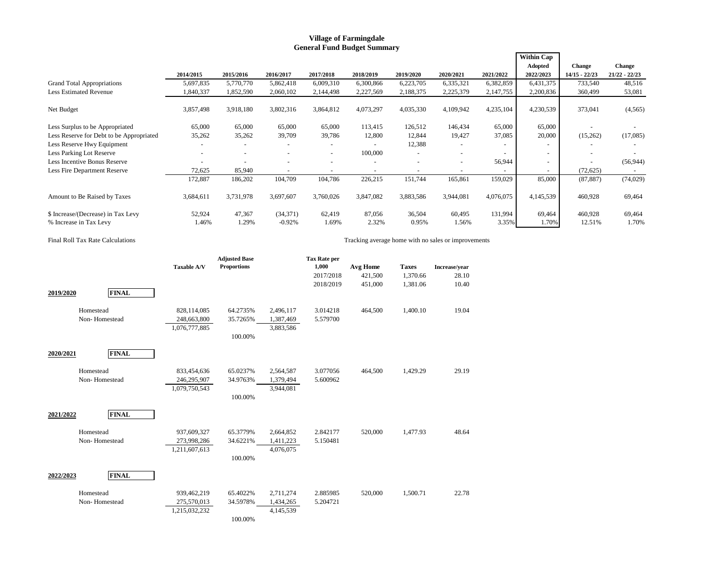#### **Village of Farmingdale General Fund Budget Summary**

|                                          |           |                          |           |                          |           |           |           |           | <b>Within Cap</b>        |                 |                 |
|------------------------------------------|-----------|--------------------------|-----------|--------------------------|-----------|-----------|-----------|-----------|--------------------------|-----------------|-----------------|
|                                          |           |                          |           |                          |           |           |           |           | Adopted                  | Change          | Change          |
|                                          | 2014/2015 | 2015/2016                | 2016/2017 | 2017/2018                | 2018/2019 | 2019/2020 | 2020/2021 | 2021/2022 | 2022/2023                | $14/15 - 22/23$ | $21/22 - 22/23$ |
| <b>Grand Total Appropriations</b>        | 5,697,835 | 5,770,770                | 5,862,418 | 6,009,310                | 6,300,866 | 6,223,705 | 6,335,321 | 6,382,859 | 6,431,375                | 733,540         | 48,516          |
| <b>Less Estimated Revenue</b>            | 1,840,337 | 1,852,590                | 2,060,102 | 2,144,498                | 2,227,569 | 2,188,375 | 2,225,379 | 2,147,755 | 2,200,836                | 360,499         | 53,081          |
| Net Budget                               | 3,857,498 | 3,918,180                | 3,802,316 | 3,864,812                | 4,073,297 | 4,035,330 | 4,109,942 | 4,235,104 | 4,230,539                | 373,041         | (4, 565)        |
| Less Surplus to be Appropriated          | 65,000    | 65,000                   | 65,000    | 65,000                   | 113,415   | 126,512   | 146,434   | 65,000    | 65,000                   |                 |                 |
| Less Reserve for Debt to be Appropriated | 35,262    | 35,262                   | 39,709    | 39,786                   | 12,800    | 12,844    | 19,427    | 37,085    | 20,000                   | (15,262)        | (17,085)        |
| Less Reserve Hwy Equipment               |           |                          |           | ٠                        |           | 12,388    |           |           | ۰                        |                 |                 |
| Less Parking Lot Reserve                 |           | $\overline{\phantom{a}}$ |           | $\overline{\phantom{a}}$ | 100,000   |           |           |           | $\overline{\phantom{0}}$ |                 |                 |
| Less Incentive Bonus Reserve             |           |                          |           | ٠                        |           |           |           | 56,944    | $\overline{\phantom{a}}$ |                 | (56, 944)       |
| Less Fire Department Reserve             | 72,625    | 85,940                   |           | $\overline{\phantom{a}}$ |           |           |           |           | $\overline{\phantom{a}}$ | (72, 625)       | $\sim$          |
|                                          | 172,887   | 186,202                  | 104,709   | 104,786                  | 226,215   | 151,744   | 165,861   | 159,029   | 85,000                   | (87, 887)       | (74, 029)       |
| Amount to Be Raised by Taxes             | 3,684,611 | 3,731,978                | 3,697,607 | 3,760,026                | 3,847,082 | 3,883,586 | 3,944,081 | 4,076,075 | 4,145,539                | 460,928         | 69,464          |
| \$ Increase/(Decrease) in Tax Levy       | 52,924    | 47,367                   | (34, 371) | 62,419                   | 87,056    | 36,504    | 60,495    | 131,994   | 69,464                   | 460,928         | 69,464          |
| % Increase in Tax Levy                   | 1.46%     | 1.29%                    | $-0.92%$  | 1.69%                    | 2.32%     | 0.95%     | 1.56%     | 3.35%     | 1.70%                    | 12.51%          | 1.70%           |

#### Final Roll Tax Rate Calculations Tracking average home with no sales or improvements

|           |                            | <b>Taxable A/V</b>                          | <b>Adjusted Base</b><br><b>Proportions</b> |                                     | <b>Tax Rate per</b><br>1,000<br>2017/2018 | Avg Home<br>421,500 | <b>Taxes</b><br>1,370.66 | Increase/year<br>28.10 |
|-----------|----------------------------|---------------------------------------------|--------------------------------------------|-------------------------------------|-------------------------------------------|---------------------|--------------------------|------------------------|
| 2019/2020 | <b>FINAL</b>               |                                             |                                            |                                     | 2018/2019                                 | 451,000             | 1,381.06                 | 10.40                  |
|           | Homestead<br>Non-Homestead | 828,114,085<br>248,663,800<br>1,076,777,885 | 64.2735%<br>35.7265%<br>100.00%            | 2,496,117<br>1,387,469<br>3,883,586 | 3.014218<br>5.579700                      | 464,500             | 1,400.10                 | 19.04                  |
| 2020/2021 | <b>FINAL</b>               |                                             |                                            |                                     |                                           |                     |                          |                        |
|           | Homestead<br>Non-Homestead | 833,454,636<br>246,295,907<br>1,079,750,543 | 65.0237%<br>34.9763%<br>100.00%            | 2,564,587<br>1,379,494<br>3,944,081 | 3.077056<br>5.600962                      | 464,500             | 1,429.29                 | 29.19                  |
| 2021/2022 | <b>FINAL</b>               |                                             |                                            |                                     |                                           |                     |                          |                        |
|           | Homestead<br>Non-Homestead | 937,609,327<br>273,998,286<br>1,211,607,613 | 65.3779%<br>34.6221%<br>100.00%            | 2,664,852<br>1,411,223<br>4,076,075 | 2.842177<br>5.150481                      | 520,000             | 1,477.93                 | 48.64                  |
| 2022/2023 | <b>FINAL</b>               |                                             |                                            |                                     |                                           |                     |                          |                        |
|           | Homestead<br>Non-Homestead | 939,462,219<br>275,570,013<br>1,215,032,232 | 65.4022%<br>34.5978%<br>100.00%            | 2,711,274<br>1,434,265<br>4,145,539 | 2.885985<br>5.204721                      | 520,000             | 1,500.71                 | 22.78                  |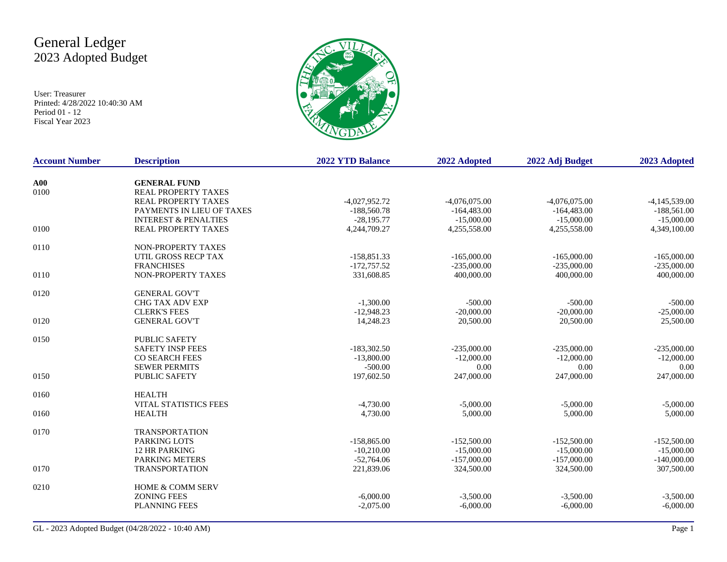# General Ledger 2023 Adopted Budget

User: Treasurer Printed: 4/28/2022 10:40:30 AM Period 01 - 12 Fiscal Year 2023



| <b>Account Number</b> | <b>Description</b>                                | <b>2022 YTD Balance</b> | 2022 Adopted    | 2022 Adj Budget | 2023 Adopted    |
|-----------------------|---------------------------------------------------|-------------------------|-----------------|-----------------|-----------------|
|                       |                                                   |                         |                 |                 |                 |
| A00<br>0100           | <b>GENERAL FUND</b><br><b>REAL PROPERTY TAXES</b> |                         |                 |                 |                 |
|                       | <b>REAL PROPERTY TAXES</b>                        | $-4,027,952.72$         | $-4,076,075.00$ | $-4,076,075.00$ | $-4,145,539.00$ |
|                       | PAYMENTS IN LIEU OF TAXES                         | $-188,560.78$           | $-164,483.00$   | $-164,483.00$   | $-188,561.00$   |
|                       | <b>INTEREST &amp; PENALTIES</b>                   | $-28,195.77$            | $-15,000.00$    | $-15,000.00$    | $-15,000.00$    |
| 0100                  | REAL PROPERTY TAXES                               | 4,244,709.27            | 4,255,558.00    | 4,255,558.00    | 4,349,100.00    |
|                       |                                                   |                         |                 |                 |                 |
| 0110                  | NON-PROPERTY TAXES                                |                         |                 |                 |                 |
|                       | UTIL GROSS RECP TAX                               | $-158,851.33$           | $-165,000.00$   | $-165,000.00$   | $-165,000.00$   |
|                       | <b>FRANCHISES</b>                                 | $-172,757.52$           | $-235,000.00$   | $-235,000.00$   | $-235,000.00$   |
| 0110                  | NON-PROPERTY TAXES                                | 331,608.85              | 400,000.00      | 400,000.00      | 400,000.00      |
| 0120                  | <b>GENERAL GOV'T</b>                              |                         |                 |                 |                 |
|                       | <b>CHG TAX ADV EXP</b>                            | $-1,300.00$             | $-500.00$       | $-500.00$       | $-500.00$       |
|                       | <b>CLERK'S FEES</b>                               |                         |                 |                 |                 |
|                       |                                                   | $-12,948.23$            | $-20,000.00$    | $-20,000.00$    | $-25,000.00$    |
| 0120                  | <b>GENERAL GOV'T</b>                              | 14,248.23               | 20,500.00       | 20,500.00       | 25,500.00       |
| 0150                  | <b>PUBLIC SAFETY</b>                              |                         |                 |                 |                 |
|                       | <b>SAFETY INSP FEES</b>                           | $-183,302.50$           | $-235,000.00$   | $-235,000.00$   | $-235,000.00$   |
|                       | <b>CO SEARCH FEES</b>                             | $-13,800.00$            | $-12,000,00$    | $-12,000,00$    | $-12,000.00$    |
|                       | <b>SEWER PERMITS</b>                              | $-500.00$               | 0.00            | 0.00            | 0.00            |
| 0150                  | <b>PUBLIC SAFETY</b>                              | 197,602.50              | 247,000.00      | 247,000.00      | 247,000.00      |
|                       |                                                   |                         |                 |                 |                 |
| 0160                  | <b>HEALTH</b>                                     |                         |                 |                 |                 |
|                       | <b>VITAL STATISTICS FEES</b>                      | $-4,730.00$             | $-5,000.00$     | $-5,000.00$     | $-5,000.00$     |
| 0160                  | <b>HEALTH</b>                                     | 4,730.00                | 5,000.00        | 5,000.00        | 5,000.00        |
| 0170                  | <b>TRANSPORTATION</b>                             |                         |                 |                 |                 |
|                       | <b>PARKING LOTS</b>                               | $-158,865.00$           | $-152,500.00$   | $-152,500.00$   | $-152,500.00$   |
|                       | <b>12 HR PARKING</b>                              | $-10.210.00$            | $-15,000.00$    | $-15,000.00$    | $-15,000.00$    |
|                       | <b>PARKING METERS</b>                             | $-52,764.06$            | $-157,000.00$   | $-157,000.00$   | $-140,000.00$   |
| 0170                  | <b>TRANSPORTATION</b>                             | 221,839.06              | 324,500.00      | 324,500.00      | 307,500.00      |
| 0210                  | <b>HOME &amp; COMM SERV</b>                       |                         |                 |                 |                 |
|                       | <b>ZONING FEES</b>                                | $-6,000.00$             | $-3,500.00$     | $-3,500.00$     | $-3,500.00$     |
|                       | <b>PLANNING FEES</b>                              | $-2,075.00$             | $-6,000.00$     | $-6,000.00$     | $-6,000.00$     |
|                       |                                                   |                         |                 |                 |                 |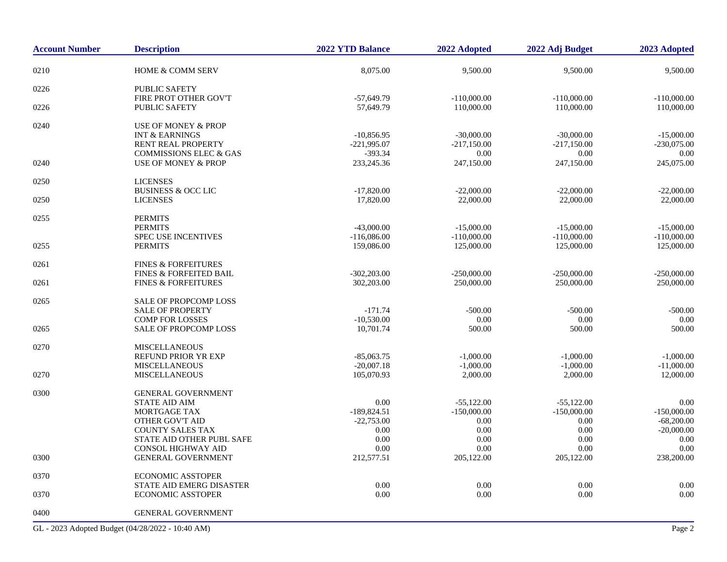| <b>Account Number</b> | <b>Description</b>                          | 2022 YTD Balance             | 2022 Adopted               | 2022 Adj Budget            | 2023 Adopted                |
|-----------------------|---------------------------------------------|------------------------------|----------------------------|----------------------------|-----------------------------|
| 0210                  | <b>HOME &amp; COMM SERV</b>                 | 8,075.00                     | 9,500.00                   | 9,500.00                   | 9,500.00                    |
| 0226                  | <b>PUBLIC SAFETY</b>                        |                              |                            |                            |                             |
|                       | FIRE PROT OTHER GOV'T                       | $-57,649.79$                 | $-110,000.00$              | $-110,000.00$              | $-110,000.00$               |
| 0226                  | <b>PUBLIC SAFETY</b>                        | 57,649.79                    | 110,000.00                 | 110,000.00                 | 110,000.00                  |
| 0240                  | <b>USE OF MONEY &amp; PROP</b>              |                              |                            |                            |                             |
|                       | <b>INT &amp; EARNINGS</b>                   | $-10,856.95$                 | $-30,000.00$               | $-30,000.00$               | $-15,000.00$                |
|                       | RENT REAL PROPERTY                          | $-221,995.07$                | $-217,150.00$              | $-217,150.00$              | $-230,075.00$               |
|                       | <b>COMMISSIONS ELEC &amp; GAS</b>           | $-393.34$                    | 0.00                       | 0.00                       | 0.00                        |
| 0240                  | <b>USE OF MONEY &amp; PROP</b>              | 233, 245. 36                 | 247,150.00                 | 247,150.00                 | 245,075.00                  |
| 0250                  | <b>LICENSES</b>                             |                              |                            |                            |                             |
|                       | <b>BUSINESS &amp; OCC LIC</b>               | $-17,820.00$                 | $-22,000.00$               | $-22,000.00$               | $-22,000.00$                |
| 0250                  | <b>LICENSES</b>                             | 17,820.00                    | 22,000.00                  | 22,000.00                  | 22,000.00                   |
| 0255                  | <b>PERMITS</b>                              |                              |                            |                            |                             |
|                       | <b>PERMITS</b>                              | $-43,000.00$                 | $-15,000.00$               | $-15,000.00$               | $-15,000.00$                |
|                       | <b>SPEC USE INCENTIVES</b>                  | $-116,086.00$                | $-110,000.00$              | $-110,000.00$              | $-110,000.00$               |
| 0255                  | <b>PERMITS</b>                              | 159,086.00                   | 125,000.00                 | 125,000.00                 | 125,000.00                  |
| 0261                  | <b>FINES &amp; FORFEITURES</b>              |                              |                            |                            |                             |
|                       | <b>FINES &amp; FORFEITED BAIL</b>           | $-302,203.00$                | $-250,000.00$              | $-250,000,00$              | $-250,000,00$               |
| 0261                  | <b>FINES &amp; FORFEITURES</b>              | 302,203.00                   | 250,000.00                 | 250,000.00                 | 250,000.00                  |
| 0265                  | <b>SALE OF PROPCOMP LOSS</b>                |                              |                            |                            |                             |
|                       | <b>SALE OF PROPERTY</b>                     | $-171.74$                    | $-500.00$                  | $-500.00$                  | $-500.00$                   |
|                       | <b>COMP FOR LOSSES</b>                      | $-10,530.00$                 | 0.00                       | 0.00                       | 0.00                        |
| 0265                  | <b>SALE OF PROPCOMP LOSS</b>                | 10,701.74                    | 500.00                     | 500.00                     | 500.00                      |
|                       |                                             |                              |                            |                            |                             |
| 0270                  | <b>MISCELLANEOUS</b>                        |                              |                            |                            |                             |
|                       | REFUND PRIOR YR EXP<br><b>MISCELLANEOUS</b> | $-85,063.75$<br>$-20,007.18$ | $-1,000.00$<br>$-1,000.00$ | $-1,000.00$<br>$-1,000.00$ | $-1,000.00$<br>$-11,000.00$ |
| 0270                  | <b>MISCELLANEOUS</b>                        | 105,070.93                   | 2,000.00                   | 2,000.00                   | 12,000.00                   |
|                       |                                             |                              |                            |                            |                             |
| 0300                  | <b>GENERAL GOVERNMENT</b>                   |                              |                            |                            |                             |
|                       | <b>STATE AID AIM</b>                        | 0.00                         | $-55,122.00$               | $-55,122.00$               | 0.00                        |
|                       | <b>MORTGAGE TAX</b>                         | $-189,824.51$                | $-150,000.00$              | $-150,000.00$              | $-150,000.00$               |
|                       | <b>OTHER GOV'T AID</b>                      | $-22,753.00$                 | 0.00                       | 0.00                       | $-68,200.00$                |
|                       | <b>COUNTY SALES TAX</b>                     | 0.00                         | 0.00                       | 0.00                       | $-20,000.00$                |
|                       | STATE AID OTHER PUBL SAFE                   | 0.00                         | 0.00                       | 0.00                       | 0.00                        |
|                       | <b>CONSOL HIGHWAY AID</b>                   | 0.00                         | 0.00                       | 0.00                       | 0.00                        |
| 0300                  | <b>GENERAL GOVERNMENT</b>                   | 212,577.51                   | 205,122.00                 | 205,122.00                 | 238,200.00                  |
| 0370                  | <b>ECONOMIC ASSTOPER</b>                    |                              |                            |                            |                             |
|                       | STATE AID EMERG DISASTER                    | 0.00                         | 0.00                       | 0.00                       | 0.00                        |
| 0370                  | <b>ECONOMIC ASSTOPER</b>                    | 0.00                         | 0.00                       | 0.00                       | 0.00                        |
| 0400                  | <b>GENERAL GOVERNMENT</b>                   |                              |                            |                            |                             |

GL - 2023 Adopted Budget (04/28/2022 - 10:40 AM) Page 2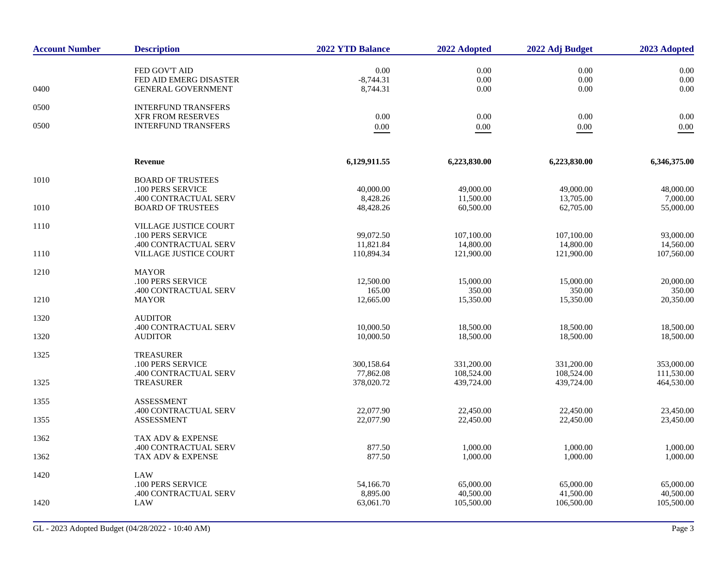| <b>Account Number</b> | <b>Description</b>                                     | 2022 YTD Balance        | 2022 Adopted             | 2022 Adj Budget          | 2023 Adopted             |
|-----------------------|--------------------------------------------------------|-------------------------|--------------------------|--------------------------|--------------------------|
|                       | FED GOV'T AID<br>FED AID EMERG DISASTER                | $0.00\,$<br>$-8,744.31$ | 0.00<br>0.00             | $0.00\,$<br>0.00         | 0.00<br>0.00             |
| 0400                  | <b>GENERAL GOVERNMENT</b>                              | 8,744.31                | 0.00                     | 0.00                     | 0.00                     |
| 0500                  | <b>INTERFUND TRANSFERS</b><br><b>XFR FROM RESERVES</b> | 0.00                    | 0.00                     | 0.00                     | 0.00                     |
| 0500                  | <b>INTERFUND TRANSFERS</b>                             | $0.00\,$                | $0.00\,$                 | 0.00                     | $0.00\,$                 |
|                       | Revenue                                                | 6,129,911.55            | 6,223,830.00             | 6,223,830.00             | 6,346,375.00             |
| 1010                  | <b>BOARD OF TRUSTEES</b><br>.100 PERS SERVICE          | 40,000.00               | 49,000.00                | 49,000.00                | 48,000.00                |
| 1010                  | .400 CONTRACTUAL SERV<br><b>BOARD OF TRUSTEES</b>      | 8,428.26<br>48,428.26   | 11,500.00<br>60,500.00   | 13,705.00<br>62,705.00   | 7,000.00<br>55,000.00    |
| 1110                  | VILLAGE JUSTICE COURT<br>.100 PERS SERVICE             | 99,072.50               | 107,100.00               | 107,100.00               | 93,000.00                |
| 1110                  | .400 CONTRACTUAL SERV<br><b>VILLAGE JUSTICE COURT</b>  | 11,821.84<br>110,894.34 | 14,800.00<br>121,900.00  | 14,800.00<br>121,900.00  | 14,560.00<br>107,560.00  |
| 1210                  | <b>MAYOR</b>                                           |                         |                          |                          |                          |
|                       | .100 PERS SERVICE<br>.400 CONTRACTUAL SERV             | 12,500.00<br>165.00     | 15,000.00<br>350.00      | 15,000.00<br>350.00      | 20,000.00<br>350.00      |
| 1210                  | <b>MAYOR</b>                                           | 12,665.00               | 15,350.00                | 15,350.00                | 20,350.00                |
| 1320                  | <b>AUDITOR</b>                                         |                         |                          |                          |                          |
| 1320                  | .400 CONTRACTUAL SERV<br><b>AUDITOR</b>                | 10,000.50<br>10,000.50  | 18,500.00<br>18,500.00   | 18,500.00<br>18,500.00   | 18,500.00<br>18,500.00   |
| 1325                  | <b>TREASURER</b><br>.100 PERS SERVICE                  | 300,158.64              | 331,200.00               | 331,200.00               | 353,000.00               |
| 1325                  | .400 CONTRACTUAL SERV<br><b>TREASURER</b>              | 77,862.08<br>378,020.72 | 108,524.00<br>439,724.00 | 108,524.00<br>439,724.00 | 111,530.00<br>464,530.00 |
| 1355                  | <b>ASSESSMENT</b>                                      |                         |                          |                          |                          |
| 1355                  | .400 CONTRACTUAL SERV<br><b>ASSESSMENT</b>             | 22,077.90<br>22,077.90  | 22,450.00<br>22,450.00   | 22,450.00<br>22,450.00   | 23,450.00<br>23,450.00   |
| 1362                  | TAX ADV & EXPENSE                                      |                         |                          |                          |                          |
| 1362                  | .400 CONTRACTUAL SERV<br><b>TAX ADV &amp; EXPENSE</b>  | 877.50<br>877.50        | 1,000.00<br>1,000.00     | 1,000.00<br>1,000.00     | 1,000.00<br>1,000.00     |
| 1420                  | LAW<br>.100 PERS SERVICE                               | 54,166.70               | 65,000.00                | 65,000.00                | 65,000.00                |
| 1420                  | .400 CONTRACTUAL SERV<br>LAW                           | 8,895.00<br>63,061.70   | 40,500.00<br>105,500.00  | 41,500.00<br>106,500.00  | 40,500.00<br>105,500.00  |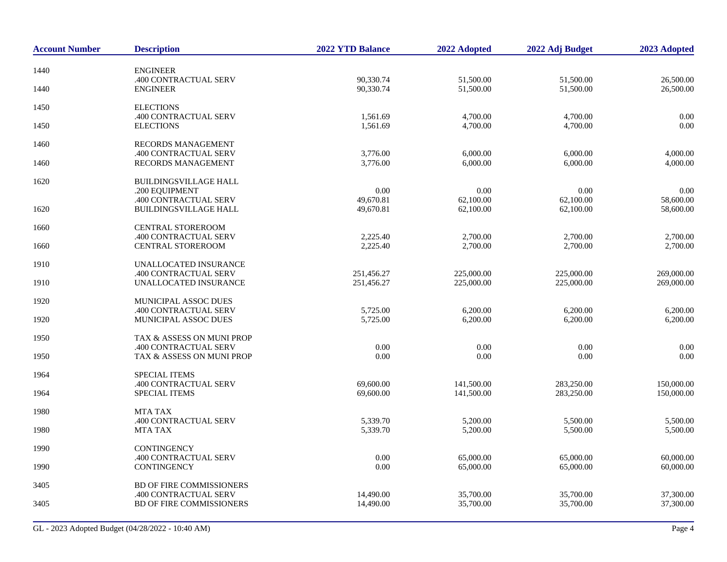| <b>Account Number</b> | <b>Description</b>                                 | <b>2022 YTD Balance</b>  | 2022 Adopted             | 2022 Adj Budget          | 2023 Adopted             |
|-----------------------|----------------------------------------------------|--------------------------|--------------------------|--------------------------|--------------------------|
| 1440                  | <b>ENGINEER</b>                                    |                          |                          |                          |                          |
| 1440                  | .400 CONTRACTUAL SERV<br><b>ENGINEER</b>           | 90,330.74<br>90,330.74   | 51,500.00<br>51,500.00   | 51,500.00<br>51,500.00   | 26,500.00<br>26,500.00   |
| 1450                  | <b>ELECTIONS</b>                                   |                          |                          |                          |                          |
|                       | .400 CONTRACTUAL SERV                              | 1,561.69                 | 4,700.00                 | 4,700.00                 | 0.00                     |
| 1450                  | <b>ELECTIONS</b>                                   | 1,561.69                 | 4,700.00                 | 4,700.00                 | 0.00                     |
| 1460                  | <b>RECORDS MANAGEMENT</b>                          |                          |                          |                          |                          |
| 1460                  | .400 CONTRACTUAL SERV<br>RECORDS MANAGEMENT        | 3,776.00<br>3,776.00     | 6,000.00<br>6,000.00     | 6,000.00<br>6,000.00     | 4,000.00<br>4,000.00     |
|                       |                                                    |                          |                          |                          |                          |
| 1620                  | <b>BUILDINGSVILLAGE HALL</b><br>.200 EOUIPMENT     | 0.00                     | 0.00                     | 0.00                     | 0.00                     |
|                       | .400 CONTRACTUAL SERV                              | 49,670.81                | 62,100.00                | 62,100.00                | 58,600.00                |
| 1620                  | <b>BUILDINGSVILLAGE HALL</b>                       | 49,670.81                | 62,100.00                | 62,100.00                | 58,600.00                |
| 1660                  | <b>CENTRAL STOREROOM</b>                           |                          |                          |                          |                          |
|                       | .400 CONTRACTUAL SERV                              | 2,225.40                 | 2,700.00                 | 2,700.00                 | 2,700.00                 |
| 1660                  | <b>CENTRAL STOREROOM</b>                           | 2,225.40                 | 2,700.00                 | 2,700.00                 | 2,700.00                 |
| 1910                  | UNALLOCATED INSURANCE                              |                          |                          |                          |                          |
| 1910                  | .400 CONTRACTUAL SERV<br>UNALLOCATED INSURANCE     | 251,456.27<br>251,456.27 | 225,000.00<br>225,000.00 | 225,000.00<br>225,000.00 | 269,000.00<br>269,000.00 |
|                       |                                                    |                          |                          |                          |                          |
| 1920                  | MUNICIPAL ASSOC DUES                               |                          |                          |                          |                          |
| 1920                  | .400 CONTRACTUAL SERV<br>MUNICIPAL ASSOC DUES      | 5,725.00<br>5,725.00     | 6,200.00<br>6,200.00     | 6,200.00<br>6,200.00     | 6,200.00<br>6,200.00     |
|                       |                                                    |                          |                          |                          |                          |
| 1950                  | TAX & ASSESS ON MUNI PROP<br>.400 CONTRACTUAL SERV | $0.00\,$                 | 0.00                     | 0.00                     | 0.00                     |
| 1950                  | TAX & ASSESS ON MUNI PROP                          | 0.00                     | 0.00                     | 0.00                     | 0.00                     |
| 1964                  | <b>SPECIAL ITEMS</b>                               |                          |                          |                          |                          |
|                       | .400 CONTRACTUAL SERV                              | 69,600.00                | 141,500.00               | 283,250.00               | 150,000.00               |
| 1964                  | <b>SPECIAL ITEMS</b>                               | 69,600.00                | 141,500.00               | 283,250.00               | 150,000.00               |
| 1980                  | <b>MTA TAX</b>                                     |                          |                          |                          |                          |
|                       | .400 CONTRACTUAL SERV                              | 5,339.70                 | 5,200.00                 | 5,500.00                 | 5,500.00                 |
| 1980                  | MTA TAX                                            | 5,339.70                 | 5,200.00                 | 5,500.00                 | 5,500.00                 |
| 1990                  | <b>CONTINGENCY</b>                                 |                          |                          |                          |                          |
| 1990                  | .400 CONTRACTUAL SERV<br>CONTINGENCY               | 0.00<br>0.00             | 65,000.00<br>65,000.00   | 65,000.00<br>65,000.00   | 60,000.00<br>60,000.00   |
|                       |                                                    |                          |                          |                          |                          |
| 3405                  | BD OF FIRE COMMISSIONERS                           |                          |                          |                          |                          |
| 3405                  | .400 CONTRACTUAL SERV<br>BD OF FIRE COMMISSIONERS  | 14,490.00<br>14,490.00   | 35,700.00<br>35,700.00   | 35,700.00<br>35,700.00   | 37,300.00<br>37,300.00   |
|                       |                                                    |                          |                          |                          |                          |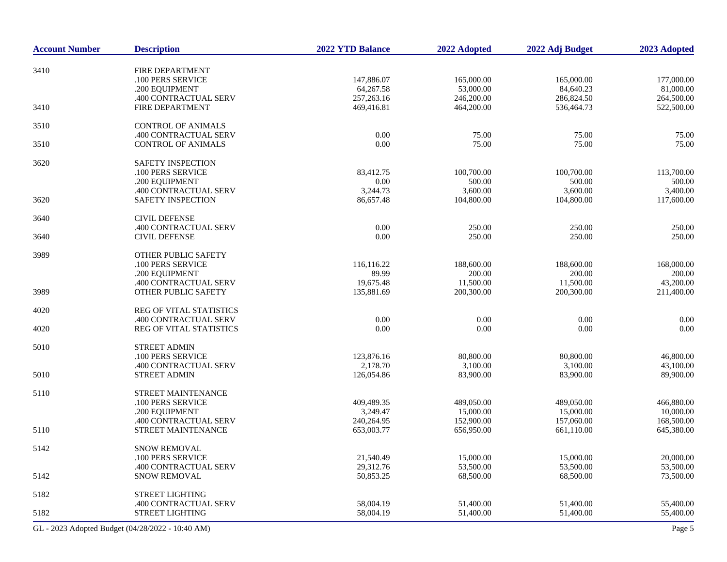| <b>Account Number</b> | <b>Description</b>                               | 2022 YTD Balance | 2022 Adopted | 2022 Adj Budget | 2023 Adopted |
|-----------------------|--------------------------------------------------|------------------|--------------|-----------------|--------------|
|                       |                                                  |                  |              |                 |              |
| 3410                  | FIRE DEPARTMENT<br>.100 PERS SERVICE             | 147,886.07       | 165,000.00   | 165,000.00      | 177,000.00   |
|                       | .200 EQUIPMENT                                   | 64,267.58        | 53,000.00    | 84,640.23       | 81,000.00    |
|                       | .400 CONTRACTUAL SERV                            | 257, 263. 16     | 246,200.00   | 286,824.50      | 264,500.00   |
| 3410                  | FIRE DEPARTMENT                                  | 469,416.81       | 464,200.00   | 536,464.73      | 522,500.00   |
| 3510                  | <b>CONTROL OF ANIMALS</b>                        |                  |              |                 |              |
|                       | .400 CONTRACTUAL SERV                            | 0.00             | 75.00        | 75.00           | 75.00        |
| 3510                  | <b>CONTROL OF ANIMALS</b>                        | 0.00             | 75.00        | 75.00           | 75.00        |
| 3620                  | SAFETY INSPECTION                                |                  |              |                 |              |
|                       | .100 PERS SERVICE                                | 83,412.75        | 100,700.00   | 100,700.00      | 113,700.00   |
|                       | .200 EQUIPMENT                                   | 0.00             | 500.00       | 500.00          | 500.00       |
|                       | .400 CONTRACTUAL SERV                            | 3,244.73         | 3,600.00     | 3,600.00        | 3,400.00     |
| 3620                  | SAFETY INSPECTION                                | 86,657.48        | 104,800.00   | 104,800.00      | 117,600.00   |
| 3640                  | <b>CIVIL DEFENSE</b>                             |                  |              |                 |              |
|                       | .400 CONTRACTUAL SERV                            | $0.00\,$         | 250.00       | 250.00          | 250.00       |
| 3640                  | <b>CIVIL DEFENSE</b>                             | 0.00             | 250.00       | 250.00          | 250.00       |
| 3989                  | <b>OTHER PUBLIC SAFETY</b>                       |                  |              |                 |              |
|                       | .100 PERS SERVICE                                | 116,116.22       | 188,600.00   | 188,600.00      | 168,000.00   |
|                       | .200 EQUIPMENT                                   | 89.99            | 200.00       | 200.00          | 200.00       |
|                       | .400 CONTRACTUAL SERV                            | 19,675.48        | 11,500.00    | 11,500.00       | 43,200.00    |
| 3989                  | OTHER PUBLIC SAFETY                              | 135,881.69       | 200,300.00   | 200,300.00      | 211,400.00   |
| 4020                  | REG OF VITAL STATISTICS                          |                  |              |                 |              |
|                       | .400 CONTRACTUAL SERV                            | $0.00\,$         | $0.00\,$     | 0.00            | 0.00         |
| 4020                  | REG OF VITAL STATISTICS                          | 0.00             | 0.00         | $0.00\,$        | 0.00         |
| 5010                  | <b>STREET ADMIN</b>                              |                  |              |                 |              |
|                       | .100 PERS SERVICE                                | 123,876.16       | 80,800.00    | 80,800.00       | 46,800.00    |
|                       | .400 CONTRACTUAL SERV                            | 2,178.70         | 3,100.00     | 3,100.00        | 43,100.00    |
| 5010                  | <b>STREET ADMIN</b>                              | 126,054.86       | 83,900.00    | 83,900.00       | 89,900.00    |
| 5110                  | STREET MAINTENANCE                               |                  |              |                 |              |
|                       | .100 PERS SERVICE                                | 409,489.35       | 489,050.00   | 489,050.00      | 466,880.00   |
|                       | .200 EQUIPMENT                                   | 3,249.47         | 15,000.00    | 15,000.00       | 10,000.00    |
|                       | .400 CONTRACTUAL SERV                            | 240,264.95       | 152,900.00   | 157,060.00      | 168,500.00   |
| 5110                  | STREET MAINTENANCE                               | 653,003.77       | 656,950.00   | 661,110.00      | 645,380.00   |
| 5142                  | SNOW REMOVAL                                     |                  |              |                 |              |
|                       | .100 PERS SERVICE                                | 21,540.49        | 15,000.00    | 15,000.00       | 20,000.00    |
|                       | .400 CONTRACTUAL SERV                            | 29,312.76        | 53,500.00    | 53,500.00       | 53,500.00    |
| 5142                  | <b>SNOW REMOVAL</b>                              | 50,853.25        | 68,500.00    | 68,500.00       | 73,500.00    |
| 5182                  | STREET LIGHTING                                  |                  |              |                 |              |
|                       | .400 CONTRACTUAL SERV                            | 58,004.19        | 51,400.00    | 51,400.00       | 55,400.00    |
| 5182                  | <b>STREET LIGHTING</b>                           | 58,004.19        | 51,400.00    | 51,400.00       | 55,400.00    |
|                       | GL - 2023 Adopted Budget (04/28/2022 - 10:40 AM) |                  |              |                 | Page 5       |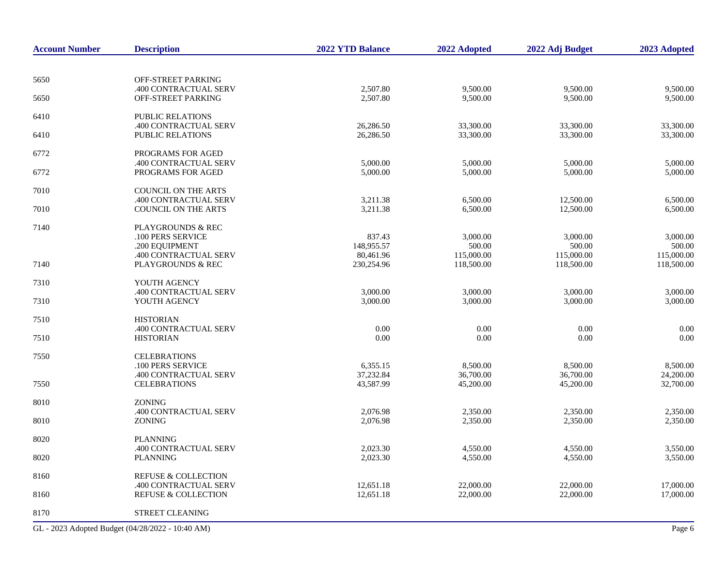| <b>Account Number</b> | <b>Description</b>                                           | <b>2022 YTD Balance</b>               | 2022 Adopted                       | 2022 Adj Budget                    | 2023 Adopted                       |
|-----------------------|--------------------------------------------------------------|---------------------------------------|------------------------------------|------------------------------------|------------------------------------|
|                       |                                                              |                                       |                                    |                                    |                                    |
| 5650                  | OFF-STREET PARKING<br>.400 CONTRACTUAL SERV                  | 2,507.80                              | 9,500.00                           | 9,500.00                           | 9,500.00                           |
| 5650                  | <b>OFF-STREET PARKING</b>                                    | 2,507.80                              | 9,500.00                           | 9,500.00                           | 9,500.00                           |
| 6410                  | <b>PUBLIC RELATIONS</b><br>.400 CONTRACTUAL SERV             | 26,286.50                             | 33,300.00                          | 33,300.00                          | 33,300.00                          |
| 6410                  | PUBLIC RELATIONS                                             | 26,286.50                             | 33,300.00                          | 33,300.00                          | 33,300.00                          |
| 6772                  | PROGRAMS FOR AGED<br>.400 CONTRACTUAL SERV                   | 5,000.00                              | 5,000.00                           | 5,000.00                           | 5,000.00                           |
| 6772                  | PROGRAMS FOR AGED                                            | 5,000.00                              | 5,000.00                           | 5,000.00                           | 5,000.00                           |
| 7010                  | <b>COUNCIL ON THE ARTS</b><br>.400 CONTRACTUAL SERV          | 3,211.38                              | 6,500.00                           | 12,500.00                          | 6,500.00                           |
| 7010                  | COUNCIL ON THE ARTS                                          | 3,211.38                              | 6,500.00                           | 12,500.00                          | 6,500.00                           |
| 7140                  | <b>PLAYGROUNDS &amp; REC</b><br>.100 PERS SERVICE            | 837.43                                | 3,000.00                           | 3,000.00                           | 3,000.00                           |
| 7140                  | .200 EQUIPMENT<br>.400 CONTRACTUAL SERV<br>PLAYGROUNDS & REC | 148,955.57<br>80,461.96<br>230,254.96 | 500.00<br>115,000.00<br>118,500.00 | 500.00<br>115,000.00<br>118,500.00 | 500.00<br>115,000.00<br>118,500.00 |
|                       | YOUTH AGENCY                                                 |                                       |                                    |                                    |                                    |
| 7310<br>7310          | .400 CONTRACTUAL SERV<br>YOUTH AGENCY                        | 3,000.00<br>3,000.00                  | 3,000.00<br>3,000.00               | 3,000.00<br>3,000.00               | 3,000.00<br>3,000.00               |
| 7510                  | <b>HISTORIAN</b>                                             |                                       |                                    |                                    |                                    |
| 7510                  | .400 CONTRACTUAL SERV<br><b>HISTORIAN</b>                    | 0.00<br>0.00                          | 0.00<br>0.00                       | 0.00<br>0.00                       | 0.00<br>0.00                       |
| 7550                  | <b>CELEBRATIONS</b><br>.100 PERS SERVICE                     | 6,355.15                              | 8,500.00                           | 8,500.00                           | 8,500.00                           |
| 7550                  | .400 CONTRACTUAL SERV<br><b>CELEBRATIONS</b>                 | 37,232.84<br>43,587.99                | 36,700.00<br>45,200.00             | 36,700.00<br>45,200.00             | 24,200.00<br>32,700.00             |
| 8010                  | <b>ZONING</b>                                                |                                       |                                    |                                    |                                    |
| 8010                  | .400 CONTRACTUAL SERV<br>ZONING                              | 2,076.98<br>2,076.98                  | 2,350.00<br>2,350.00               | 2,350.00<br>2,350.00               | 2,350.00<br>2,350.00               |
| 8020                  | <b>PLANNING</b>                                              |                                       |                                    |                                    |                                    |
| 8020                  | .400 CONTRACTUAL SERV<br><b>PLANNING</b>                     | 2,023.30<br>2,023.30                  | 4,550.00<br>4,550.00               | 4.550.00<br>4,550.00               | 3,550.00<br>3,550.00               |
| 8160                  | <b>REFUSE &amp; COLLECTION</b>                               |                                       |                                    |                                    |                                    |
| 8160                  | .400 CONTRACTUAL SERV<br><b>REFUSE &amp; COLLECTION</b>      | 12,651.18<br>12,651.18                | 22,000.00<br>22,000.00             | 22,000.00<br>22,000.00             | 17,000.00<br>17,000.00             |
| 8170                  | <b>STREET CLEANING</b>                                       |                                       |                                    |                                    |                                    |

GL - 2023 Adopted Budget (04/28/2022 - 10:40 AM) Page 6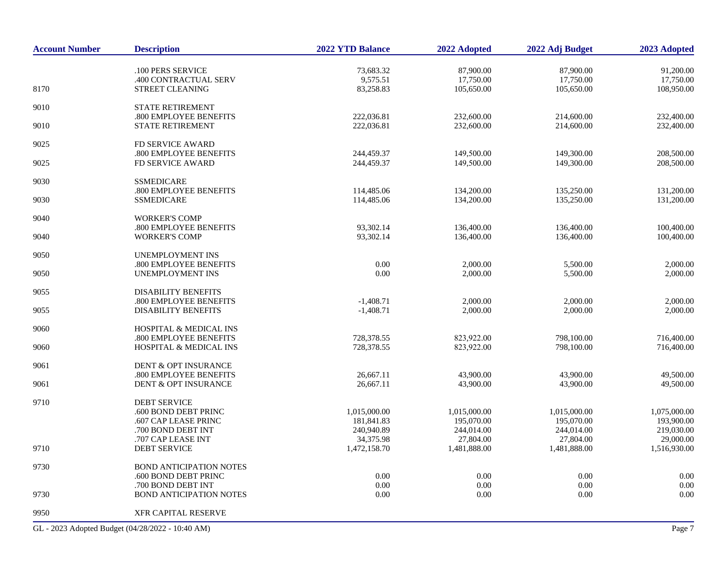| <b>Account Number</b> | <b>Description</b>                               | <b>2022 YTD Balance</b>   | 2022 Adopted              | 2022 Adj Budget           | 2023 Adopted              |
|-----------------------|--------------------------------------------------|---------------------------|---------------------------|---------------------------|---------------------------|
|                       | .100 PERS SERVICE                                | 73,683.32                 | 87,900.00                 | 87,900.00                 | 91,200.00                 |
|                       | .400 CONTRACTUAL SERV                            | 9,575.51                  | 17,750.00                 | 17,750.00                 | 17,750.00                 |
| 8170                  | STREET CLEANING                                  | 83,258.83                 | 105,650.00                | 105,650.00                | 108,950.00                |
| 9010                  | <b>STATE RETIREMENT</b>                          |                           |                           |                           |                           |
|                       | .800 EMPLOYEE BENEFITS                           | 222,036.81                | 232,600.00                | 214,600.00                | 232,400.00                |
| 9010                  | STATE RETIREMENT                                 | 222,036.81                | 232,600.00                | 214,600.00                | 232,400.00                |
| 9025                  | FD SERVICE AWARD                                 |                           |                           |                           |                           |
|                       | .800 EMPLOYEE BENEFITS                           | 244,459.37                | 149,500.00                | 149,300.00                | 208,500.00                |
| 9025                  | FD SERVICE AWARD                                 | 244,459.37                | 149,500.00                | 149,300.00                | 208,500.00                |
| 9030                  | <b>SSMEDICARE</b>                                |                           |                           |                           |                           |
|                       | .800 EMPLOYEE BENEFITS                           | 114,485.06                | 134,200.00                | 135,250.00                | 131,200.00                |
| 9030                  | <b>SSMEDICARE</b>                                | 114,485.06                | 134,200.00                | 135,250.00                | 131,200.00                |
| 9040                  | <b>WORKER'S COMP</b>                             |                           |                           |                           |                           |
|                       | .800 EMPLOYEE BENEFITS                           | 93,302.14                 | 136,400.00                | 136,400.00                | 100,400.00                |
| 9040                  | <b>WORKER'S COMP</b>                             | 93,302.14                 | 136,400.00                | 136,400.00                | 100,400.00                |
| 9050                  | <b>UNEMPLOYMENT INS</b>                          |                           |                           |                           |                           |
|                       | .800 EMPLOYEE BENEFITS                           | 0.00                      | 2,000.00                  | 5,500.00                  | 2,000.00                  |
| 9050                  | <b>UNEMPLOYMENT INS</b>                          | 0.00                      | 2,000.00                  | 5,500.00                  | 2,000.00                  |
| 9055                  | <b>DISABILITY BENEFITS</b>                       |                           |                           |                           |                           |
|                       | .800 EMPLOYEE BENEFITS                           | $-1,408.71$               | 2,000.00                  | 2,000.00                  | 2,000.00                  |
| 9055                  | <b>DISABILITY BENEFITS</b>                       | $-1,408.71$               | 2,000.00                  | 2,000.00                  | 2,000.00                  |
| 9060                  | <b>HOSPITAL &amp; MEDICAL INS</b>                |                           |                           |                           |                           |
|                       | .800 EMPLOYEE BENEFITS                           | 728,378.55                | 823,922.00                | 798,100.00                | 716,400.00                |
| 9060                  | HOSPITAL & MEDICAL INS                           | 728,378.55                | 823,922.00                | 798,100.00                | 716,400.00                |
| 9061                  | DENT & OPT INSURANCE                             |                           |                           |                           |                           |
|                       | .800 EMPLOYEE BENEFITS                           | 26,667.11                 | 43,900.00                 | 43,900.00                 | 49,500.00                 |
| 9061                  | DENT & OPT INSURANCE                             | 26,667.11                 | 43,900.00                 | 43,900.00                 | 49,500.00                 |
| 9710                  | <b>DEBT SERVICE</b>                              |                           |                           |                           |                           |
|                       | .600 BOND DEBT PRINC                             | 1,015,000.00              | 1,015,000.00              | 1,015,000.00              | 1,075,000.00              |
|                       | .607 CAP LEASE PRINC                             | 181,841.83                | 195,070.00                | 195,070.00                | 193,900.00                |
|                       | .700 BOND DEBT INT                               | 240,940.89                | 244,014.00                | 244,014.00                | 219,030.00                |
| 9710                  | .707 CAP LEASE INT<br><b>DEBT SERVICE</b>        | 34,375.98<br>1,472,158.70 | 27,804.00<br>1,481,888.00 | 27,804.00<br>1,481,888.00 | 29,000.00<br>1,516,930.00 |
|                       |                                                  |                           |                           |                           |                           |
| 9730                  | <b>BOND ANTICIPATION NOTES</b>                   |                           |                           |                           |                           |
|                       | .600 BOND DEBT PRINC                             | 0.00                      | 0.00                      | 0.00                      | 0.00                      |
|                       | .700 BOND DEBT INT                               | 0.00                      | 0.00                      | 0.00                      | 0.00                      |
| 9730                  | <b>BOND ANTICIPATION NOTES</b>                   | 0.00                      | 0.00                      | 0.00                      | 0.00                      |
| 9950                  | XFR CAPITAL RESERVE                              |                           |                           |                           |                           |
|                       | GL - 2023 Adopted Budget (04/28/2022 - 10:40 AM) |                           |                           |                           | Page 7                    |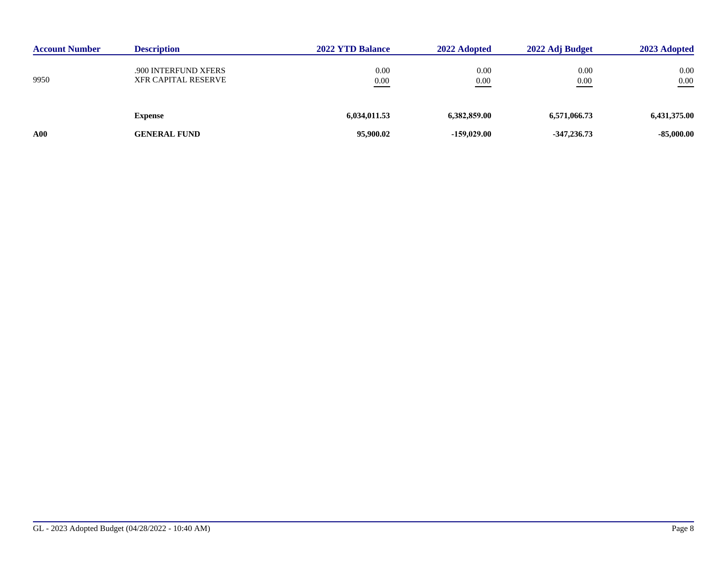| <b>Account Number</b> | <b>Description</b>                                 | <b>2022 YTD Balance</b> | 2022 Adopted  | 2022 Adj Budget     | 2023 Adopted     |
|-----------------------|----------------------------------------------------|-------------------------|---------------|---------------------|------------------|
| 9950                  | .900 INTERFUND XFERS<br><b>XFR CAPITAL RESERVE</b> | 0.00<br>0.00            | 0.00<br>0.00  | 0.00<br>0.00<br>___ | 0.00<br>$0.00\,$ |
|                       | <b>Expense</b>                                     | 6,034,011.53            | 6.382,859.00  | 6,571,066.73        | 6,431,375.00     |
| ${\bf A00}$           | <b>GENERAL FUND</b>                                | 95,900.02               | $-159,029,00$ | $-347,236,73$       | $-85,000.00$     |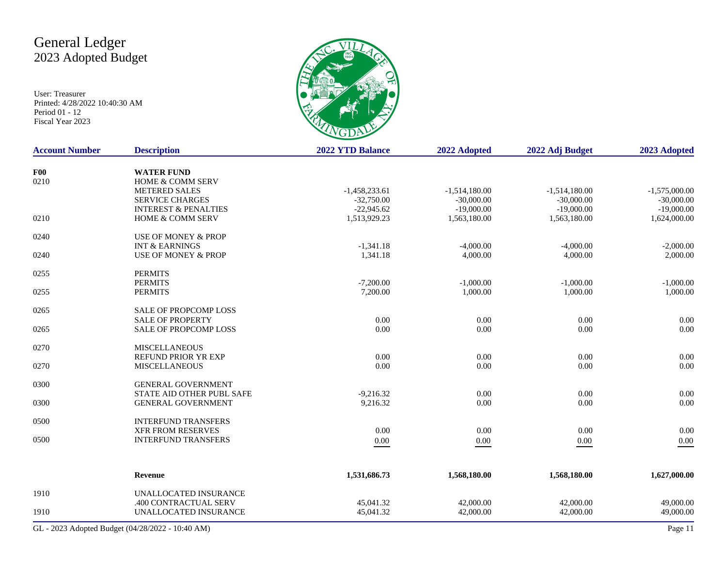# General Ledger 2023 Adopted Budget

User: Treasurer Printed: 4/28/2022 10:40:30 AM Period 01 - 12 Fiscal Year 2023



| <b>Account Number</b> | <b>Description</b>              | <b>2022 YTD Balance</b> | 2022 Adopted    | 2022 Adj Budget | 2023 Adopted    |
|-----------------------|---------------------------------|-------------------------|-----------------|-----------------|-----------------|
| <b>F00</b>            | <b>WATER FUND</b>               |                         |                 |                 |                 |
| 0210                  | <b>HOME &amp; COMM SERV</b>     |                         |                 |                 |                 |
|                       | <b>METERED SALES</b>            | $-1,458,233.61$         | $-1,514,180.00$ | $-1,514,180.00$ | $-1,575,000.00$ |
|                       | <b>SERVICE CHARGES</b>          | $-32,750.00$            | $-30,000.00$    | $-30,000.00$    | $-30,000.00$    |
|                       | <b>INTEREST &amp; PENALTIES</b> | $-22,945.62$            | $-19,000.00$    | $-19,000.00$    | $-19,000.00$    |
| 0210                  | <b>HOME &amp; COMM SERV</b>     | 1,513,929.23            | 1,563,180.00    | 1,563,180.00    | 1,624,000.00    |
| 0240                  | <b>USE OF MONEY &amp; PROP</b>  |                         |                 |                 |                 |
|                       | <b>INT &amp; EARNINGS</b>       | $-1,341.18$             | $-4,000.00$     | $-4,000.00$     | $-2,000.00$     |
| 0240                  | <b>USE OF MONEY &amp; PROP</b>  | 1,341.18                | 4,000.00        | 4,000.00        | 2,000.00        |
| 0255                  | <b>PERMITS</b>                  |                         |                 |                 |                 |
|                       | <b>PERMITS</b>                  | $-7,200.00$             | $-1,000.00$     | $-1,000.00$     | $-1,000.00$     |
| 0255                  | <b>PERMITS</b>                  | 7,200.00                | 1,000.00        | 1,000.00        | 1,000.00        |
| 0265                  | <b>SALE OF PROPCOMP LOSS</b>    |                         |                 |                 |                 |
|                       | <b>SALE OF PROPERTY</b>         | $0.00\,$                | 0.00            | 0.00            | 0.00            |
| 0265                  | SALE OF PROPCOMP LOSS           | 0.00                    | 0.00            | $0.00\,$        | 0.00            |
| 0270                  | <b>MISCELLANEOUS</b>            |                         |                 |                 |                 |
|                       | REFUND PRIOR YR EXP             | 0.00                    | 0.00            | 0.00            | 0.00            |
| 0270                  | <b>MISCELLANEOUS</b>            | 0.00                    | 0.00            | 0.00            | 0.00            |
| 0300                  | <b>GENERAL GOVERNMENT</b>       |                         |                 |                 |                 |
|                       | STATE AID OTHER PUBL SAFE       | $-9,216.32$             | 0.00            | 0.00            | 0.00            |
| 0300                  | <b>GENERAL GOVERNMENT</b>       | 9,216.32                | 0.00            | 0.00            | 0.00            |
| 0500                  | <b>INTERFUND TRANSFERS</b>      |                         |                 |                 |                 |
|                       | <b>XFR FROM RESERVES</b>        | 0.00                    | 0.00            | 0.00            | 0.00            |
| 0500                  | <b>INTERFUND TRANSFERS</b>      | $0.00\,$                | $0.00\,$        | $0.00\,$        | $0.00\,$        |
|                       |                                 |                         |                 |                 |                 |
|                       | Revenue                         | 1,531,686.73            | 1,568,180.00    | 1,568,180.00    | 1,627,000.00    |
| 1910                  | UNALLOCATED INSURANCE           |                         |                 |                 |                 |
|                       | .400 CONTRACTUAL SERV           | 45,041.32               | 42,000.00       | 42,000.00       | 49,000.00       |
| 1910                  | UNALLOCATED INSURANCE           | 45,041.32               | 42,000.00       | 42,000.00       | 49,000.00       |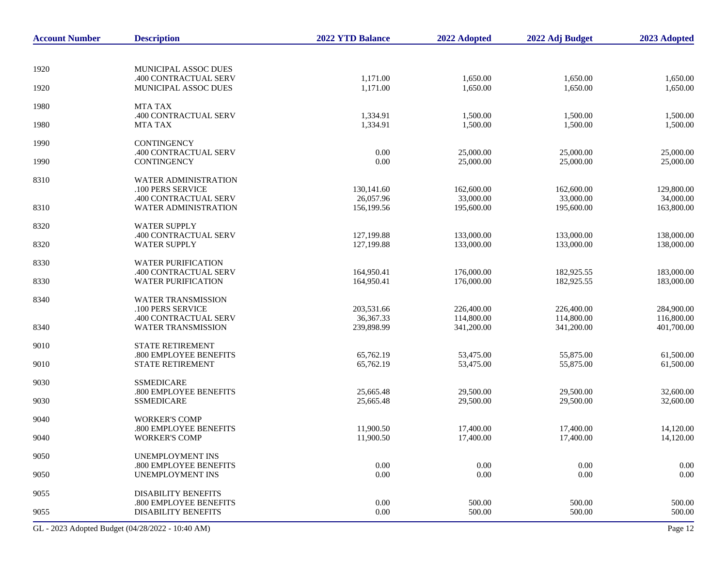| <b>Account Number</b> | <b>Description</b>                                   | 2022 YTD Balance          | 2022 Adopted             | 2022 Adj Budget          | 2023 Adopted             |
|-----------------------|------------------------------------------------------|---------------------------|--------------------------|--------------------------|--------------------------|
|                       |                                                      |                           |                          |                          |                          |
| 1920                  | MUNICIPAL ASSOC DUES                                 |                           |                          |                          |                          |
| 1920                  | .400 CONTRACTUAL SERV<br>MUNICIPAL ASSOC DUES        | 1,171.00<br>1,171.00      | 1,650.00<br>1,650.00     | 1,650.00<br>1,650.00     | 1,650.00<br>1,650.00     |
| 1980                  | <b>MTA TAX</b>                                       |                           |                          |                          |                          |
| 1980                  | .400 CONTRACTUAL SERV<br><b>MTA TAX</b>              | 1,334.91<br>1,334.91      | 1,500.00<br>1,500.00     | 1,500.00<br>1,500.00     | 1,500.00<br>1,500.00     |
| 1990                  | <b>CONTINGENCY</b>                                   |                           |                          |                          |                          |
| 1990                  | .400 CONTRACTUAL SERV<br><b>CONTINGENCY</b>          | 0.00<br>0.00              | 25,000.00<br>25,000.00   | 25,000.00<br>25,000.00   | 25,000.00<br>25,000.00   |
| 8310                  | WATER ADMINISTRATION<br>.100 PERS SERVICE            | 130,141.60                | 162,600.00               | 162,600.00               | 129,800.00               |
| 8310                  | .400 CONTRACTUAL SERV<br>WATER ADMINISTRATION        | 26,057.96<br>156,199.56   | 33,000.00<br>195,600.00  | 33,000.00<br>195,600.00  | 34,000.00<br>163,800.00  |
| 8320                  | <b>WATER SUPPLY</b>                                  |                           |                          |                          |                          |
| 8320                  | .400 CONTRACTUAL SERV<br><b>WATER SUPPLY</b>         | 127,199.88<br>127,199.88  | 133,000.00<br>133,000.00 | 133,000.00<br>133,000.00 | 138,000.00<br>138,000.00 |
| 8330                  | <b>WATER PURIFICATION</b>                            |                           |                          |                          |                          |
| 8330                  | .400 CONTRACTUAL SERV<br><b>WATER PURIFICATION</b>   | 164,950.41<br>164,950.41  | 176,000.00<br>176,000.00 | 182,925.55<br>182,925.55 | 183,000.00<br>183,000.00 |
| 8340                  | WATER TRANSMISSION<br>.100 PERS SERVICE              | 203,531.66                | 226,400.00               | 226,400.00               | 284,900.00               |
| 8340                  | .400 CONTRACTUAL SERV<br><b>WATER TRANSMISSION</b>   | 36, 367. 33<br>239,898.99 | 114,800.00<br>341,200.00 | 114,800.00<br>341,200.00 | 116,800.00<br>401,700.00 |
| 9010                  | <b>STATE RETIREMENT</b>                              |                           |                          |                          |                          |
| 9010                  | .800 EMPLOYEE BENEFITS<br>STATE RETIREMENT           | 65,762.19<br>65,762.19    | 53,475.00<br>53,475.00   | 55,875.00<br>55,875.00   | 61,500.00<br>61,500.00   |
| 9030                  | <b>SSMEDICARE</b><br>.800 EMPLOYEE BENEFITS          | 25,665.48                 |                          |                          | 32,600.00                |
| 9030                  | <b>SSMEDICARE</b>                                    | 25,665.48                 | 29,500.00<br>29,500.00   | 29,500.00<br>29,500.00   | 32,600.00                |
| 9040                  | <b>WORKER'S COMP</b>                                 | 11,900.50                 |                          |                          |                          |
| 9040                  | .800 EMPLOYEE BENEFITS<br><b>WORKER'S COMP</b>       | 11,900.50                 | 17,400.00<br>17,400.00   | 17,400.00<br>17,400.00   | 14,120.00<br>14,120.00   |
| 9050                  | <b>UNEMPLOYMENT INS</b><br>.800 EMPLOYEE BENEFITS    | 0.00                      | $0.00\,$                 | 0.00                     | 0.00                     |
| 9050                  | <b>UNEMPLOYMENT INS</b>                              | 0.00                      | 0.00                     | 0.00                     | 0.00                     |
| 9055                  | <b>DISABILITY BENEFITS</b><br>.800 EMPLOYEE BENEFITS | 0.00                      | 500.00                   | 500.00                   | 500.00                   |
| 9055                  | <b>DISABILITY BENEFITS</b>                           | 0.00                      | 500.00                   | 500.00                   | 500.00                   |

GL - 2023 Adopted Budget (04/28/2022 - 10:40 AM) Page 12